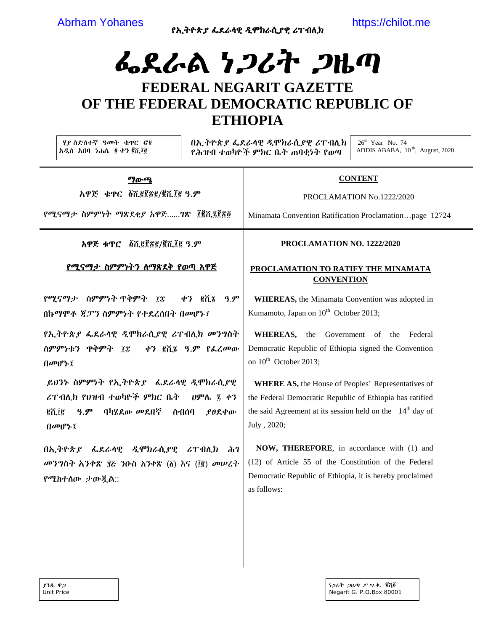የኢትዮጵያ ፌደራሳዊ ዲሞክራሲያዊ ሪፐብሊክ

https://chilot.me

# ፌደራል ነ*ጋ*ሪት *ጋ*ዜጣ FEDERAL NEGARIT GAZETTE OF THE FEDERAL DEMOCRATIC REPUBLIC OF **ETHIOPIA**

ሃያ ስድስተኛ ዓመት ቁዋር ሮ፬ አዲስ አበባ ነሐሴ ፬ ቀን ፪ሺ፲፪

በኢትዮጵያ ፌደራሳዊ ዲሞክራሲያዊ ሪፐብሊክ የሕዝብ ተወካዮች ምክር ቤት ጠባቂነት የወጣ

 $26<sup>th</sup>$  Year No. 74 ADDIS ABABA, 10<sup>th</sup>, August, 2020

**ግ**ውጫ አዋጅ ቁዋር ፩ሺ፪፻፳፪/፪ሺ፲፪ ዓ.ም

የሚናማታ ስምምነት ማጽደቂያ አዋጅ......ግጽ ፲፪ሺ፯፻፳፬

አዋጅ ቁጥር ፩ሺ፪፻፳፪/፪ሺ፲፪ ዓ.ም

# <u>የሚናማታ ስምምነትን ስማጽደቅ የወጣ አዋጅ</u>

የሚናማታ ስምምነት ጥቅምት ገቿ ቀን *€*ሺኜ  $9.9^{\circ}$ በኩማሞቶ ጃፓን ስምምነት የተደረሰበት በመሆኑ፤

*የኢት*ዮጵ*ያ ፌ*ደራሳዊ *ዲ*ሞክራሲያዊ ሪፐብሊክ መንግስት ስምምነቱን ዋቅምት ፲፰ ቀን ፪ሺ፮ ዓ.ም የፌረመው በመሆኑ፤

ይህንኑ ስምምነት የኢትዮጵያ ፌደራሳዊ ዲሞክራሲያዊ ሪፐብሊክ የህዝብ ተወካዮች ምክር ቤት *ህ*ምሌ ፯ ቀን ghig *ዓ.ም* ባካሂደው መደበኛ ስብሰባ **.የፀደ**ቀው  $0$ መሆኑ $\bar{t}$ 

በኢትዮጵያ ፌደራሳዊ ዲሞክራሲያዊ ሪፐብሊክ ሕገ መንግስት አንቀጽ ፶፩ ንዑስ አንቀጽ (፩) እና (፲፪) መሠረት የሚከተሰው ታውጇል::

### PROCLAMATION NO. 1222/2020

**CONTENT** 

PROCLAMATION No.1222/2020

Minamata Convention Ratification Proclamation...page 12724

## PROCLAMATION TO RATIFY THE MINAMATA **CONVENTION**

**WHEREAS**, the Minamata Convention was adopted in Kumamoto, Japan on 10<sup>th</sup> October 2013;

WHEREAS, the Government of the Federal Democratic Republic of Ethiopia signed the Convention on  $10^{th}$  October 2013:

**WHERE AS, the House of Peoples' Representatives of** the Federal Democratic Republic of Ethiopia has ratified the said Agreement at its session held on the  $14<sup>th</sup>$  day of July, 2020;

NOW, THEREFORE, in accordance with (1) and (12) of Article 55 of the Constitution of the Federal Democratic Republic of Ethiopia, it is hereby proclaimed as follows: